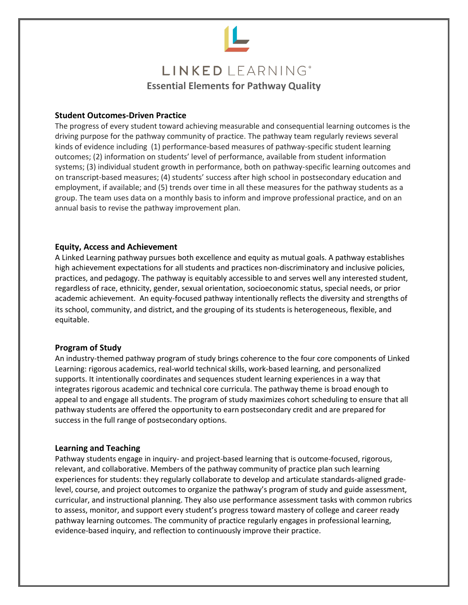

# **Student Outcomes-Driven Practice**

The progress of every student toward achieving measurable and consequential learning outcomes is the driving purpose for the pathway community of practice. The pathway team regularly reviews several kinds of evidence including (1) performance-based measures of pathway-specific student learning outcomes; (2) information on students' level of performance, available from student information systems; (3) individual student growth in performance, both on pathway-specific learning outcomes and on transcript-based measures; (4) students' success after high school in postsecondary education and employment, if available; and (5) trends over time in all these measures for the pathway students as a group. The team uses data on a monthly basis to inform and improve professional practice, and on an annual basis to revise the pathway improvement plan.

## **Equity, Access and Achievement**

A Linked Learning pathway pursues both excellence and equity as mutual goals. A pathway establishes high achievement expectations for all students and practices non-discriminatory and inclusive policies, practices, and pedagogy. The pathway is equitably accessible to and serves well any interested student, regardless of race, ethnicity, gender, sexual orientation, socioeconomic status, special needs, or prior academic achievement. An equity-focused pathway intentionally reflects the diversity and strengths of its school, community, and district, and the grouping of its students is heterogeneous, flexible, and equitable.

## **Program of Study**

An industry-themed pathway program of study brings coherence to the four core components of Linked Learning: rigorous academics, real-world technical skills, work-based learning, and personalized supports. It intentionally coordinates and sequences student learning experiences in a way that integrates rigorous academic and technical core curricula. The pathway theme is broad enough to appeal to and engage all students. The program of study maximizes cohort scheduling to ensure that all pathway students are offered the opportunity to earn postsecondary credit and are prepared for success in the full range of postsecondary options.

## **Learning and Teaching**

Pathway students engage in inquiry- and project-based learning that is outcome-focused, rigorous, relevant, and collaborative. Members of the pathway community of practice plan such learning experiences for students: they regularly collaborate to develop and articulate standards-aligned gradelevel, course, and project outcomes to organize the pathway's program of study and guide assessment, curricular, and instructional planning. They also use performance assessment tasks with common rubrics to assess, monitor, and support every student's progress toward mastery of college and career ready pathway learning outcomes. The community of practice regularly engages in professional learning, evidence-based inquiry, and reflection to continuously improve their practice.